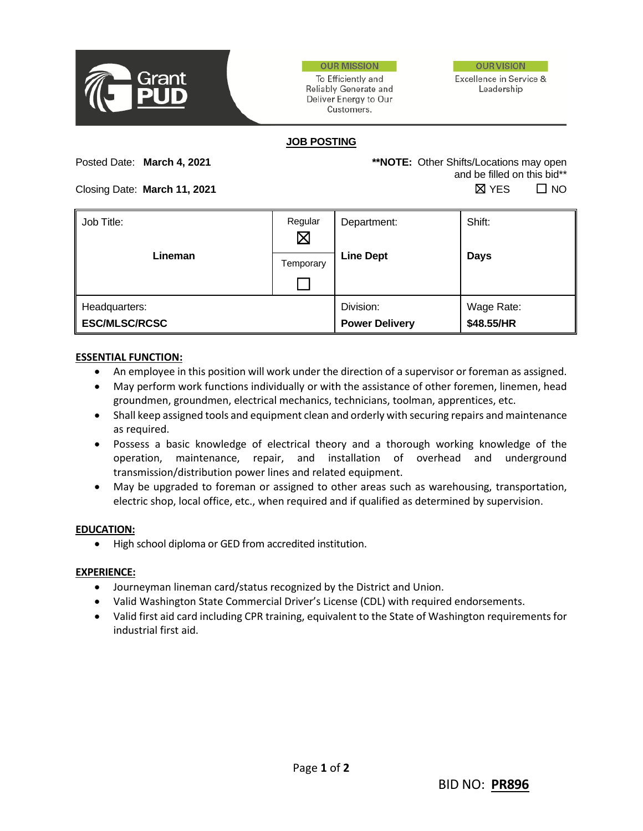

**OUR MISSION** 

To Efficiently and Reliably Generate and Deliver Energy to Our Customers.



Excellence in Service & Leadership

## **JOB POSTING**

Posted Date: **March 4, 2021 \*\*NOTE:** Other Shifts/Locations may open and be filled on this bid\*\*  $\Box$  Closing Date: **March 11, 2021**  $\Box$  **No** 

| Job Title:                            | Regular<br>$\boxtimes$ | Department:                        | Shift:                   |
|---------------------------------------|------------------------|------------------------------------|--------------------------|
| Lineman                               | Temporary              | <b>Line Dept</b>                   | <b>Days</b>              |
| Headquarters:<br><b>ESC/MLSC/RCSC</b> |                        | Division:<br><b>Power Delivery</b> | Wage Rate:<br>\$48.55/HR |

## **ESSENTIAL FUNCTION:**

- An employee in this position will work under the direction of a supervisor or foreman as assigned.
- May perform work functions individually or with the assistance of other foremen, linemen, head groundmen, groundmen, electrical mechanics, technicians, toolman, apprentices, etc.
- Shall keep assigned tools and equipment clean and orderly with securing repairs and maintenance as required.
- Possess a basic knowledge of electrical theory and a thorough working knowledge of the operation, maintenance, repair, and installation of overhead and underground transmission/distribution power lines and related equipment.
- May be upgraded to foreman or assigned to other areas such as warehousing, transportation, electric shop, local office, etc., when required and if qualified as determined by supervision.

# **EDUCATION:**

• High school diploma or GED from accredited institution.

## **EXPERIENCE:**

- Journeyman lineman card/status recognized by the District and Union.
- Valid Washington State Commercial Driver's License (CDL) with required endorsements.
- Valid first aid card including CPR training, equivalent to the State of Washington requirements for industrial first aid.